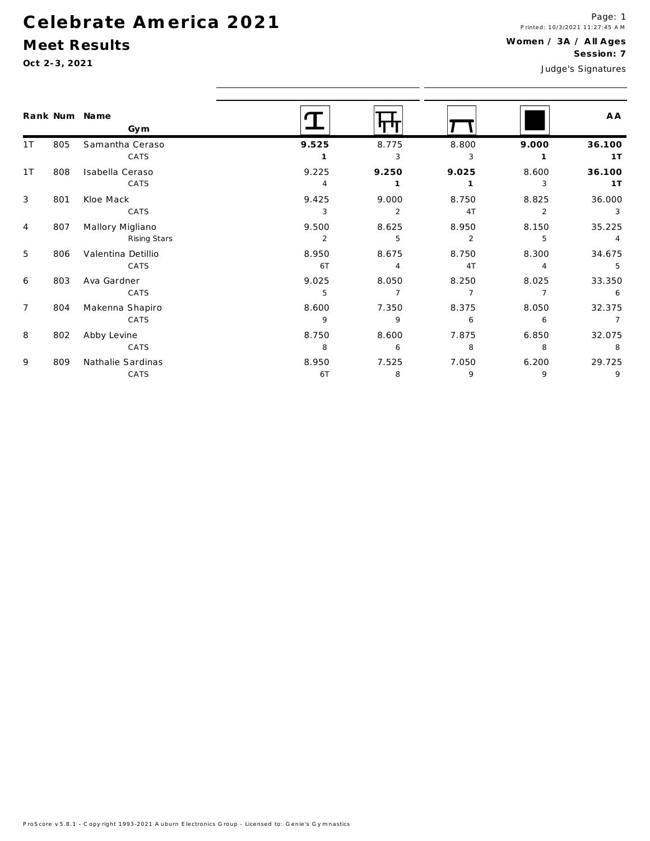## Celebrate America 2021

## Meet Results

Oct 2-3, 2021

|                |     | Rank Num Name<br>Gym |                |                |                |                | A A            |
|----------------|-----|----------------------|----------------|----------------|----------------|----------------|----------------|
| 1 T            | 805 | Samantha Ceraso      | 9.525          | 8.775          | 8.800          | 9.000          | 36.100         |
|                |     | CATS                 |                | 3              | 3              |                | 1T             |
| 1T             | 808 | Isabella Ceraso      | 9.225          | 9.250          | 9.025          | 8.600          | 36.100         |
|                |     | CATS                 | 4              | $\mathbf{1}$   | $\mathbf{1}$   | 3              | 1T             |
| 3              | 801 | Kloe Mack            | 9.425          | 9.000          | 8.750          | 8.825          | 36.000         |
|                |     | CATS                 | 3              | 2              | 4T             | 2              | 3              |
| 4              | 807 | Mallory Migliano     | 9.500          | 8.625          | 8.950          | 8.150          | 35.225         |
|                |     | Rising Stars         | $\overline{2}$ | 5              | $\overline{2}$ | 5              | $\overline{4}$ |
| 5              | 806 | Valentina Detillio   | 8.950          | 8.675          | 8.750          | 8.300          | 34.675         |
|                |     | CATS                 | 6T             | 4              | 4T             | 4              | 5              |
| 6              | 803 | Ava Gardner          | 9.025          | 8.050          | 8.250          | 8.025          | 33.350         |
|                |     | CATS                 | 5              | $\overline{7}$ | $\overline{7}$ | $\overline{7}$ | 6              |
| $\overline{7}$ | 804 | Makenna Shapiro      | 8.600          | 7.350          | 8.375          | 8.050          | 32.375         |
|                |     | CATS                 | 9              | 9              | 6              | 6              | $\overline{7}$ |
| 8              | 802 | Abby Levine          | 8.750          | 8.600          | 7.875          | 6.850          | 32.075         |
|                |     | CATS                 | 8              | 6              | 8              | 8              | 8              |
| 9              | 809 | Nathalie Sardinas    | 8.950          | 7.525          | 7.050          | 6.200          | 29.725         |
|                |     | CATS                 | 6T             | 8              | 9              | 9              | 9              |